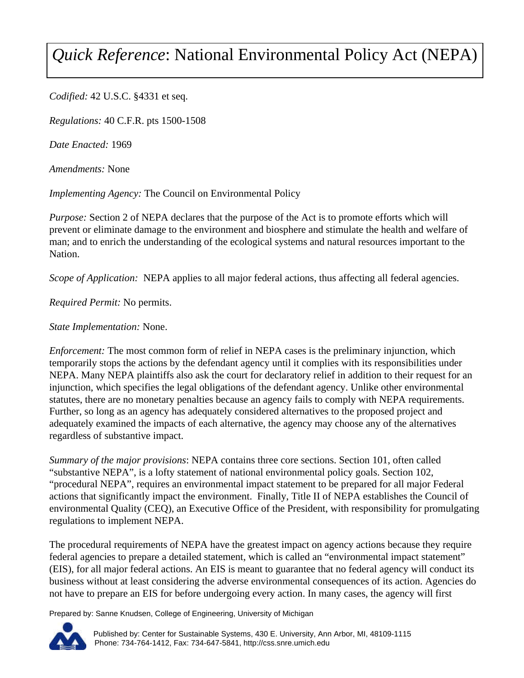## *Quick Reference*: National Environmental Policy Act (NEPA)

*Codified:* 42 U.S.C. §4331 et seq.

*Regulations:* 40 C.F.R. pts 1500-1508

*Date Enacted:* 1969

*Amendments:* None

*Implementing Agency:* The Council on Environmental Policy

*Purpose:* Section 2 of NEPA declares that the purpose of the Act is to promote efforts which will prevent or eliminate damage to the environment and biosphere and stimulate the health and welfare of man; and to enrich the understanding of the ecological systems and natural resources important to the Nation.

*Scope of Application:* NEPA applies to all major federal actions, thus affecting all federal agencies.

*Required Permit:* No permits.

*State Implementation:* None.

*Enforcement:* The most common form of relief in NEPA cases is the preliminary injunction, which temporarily stops the actions by the defendant agency until it complies with its responsibilities under NEPA. Many NEPA plaintiffs also ask the court for declaratory relief in addition to their request for an injunction, which specifies the legal obligations of the defendant agency. Unlike other environmental statutes, there are no monetary penalties because an agency fails to comply with NEPA requirements. Further, so long as an agency has adequately considered alternatives to the proposed project and adequately examined the impacts of each alternative, the agency may choose any of the alternatives regardless of substantive impact.

*Summary of the major provisions*: NEPA contains three core sections. Section 101, often called "substantive NEPA", is a lofty statement of national environmental policy goals. Section 102, "procedural NEPA", requires an environmental impact statement to be prepared for all major Federal actions that significantly impact the environment. Finally, Title II of NEPA establishes the Council of environmental Quality (CEQ), an Executive Office of the President, with responsibility for promulgating regulations to implement NEPA.

The procedural requirements of NEPA have the greatest impact on agency actions because they require federal agencies to prepare a detailed statement, which is called an "environmental impact statement" (EIS), for all major federal actions. An EIS is meant to guarantee that no federal agency will conduct its business without at least considering the adverse environmental consequences of its action. Agencies do not have to prepare an EIS for before undergoing every action. In many cases, the agency will first

Prepared by: Sanne Knudsen, College of Engineering, University of Michigan